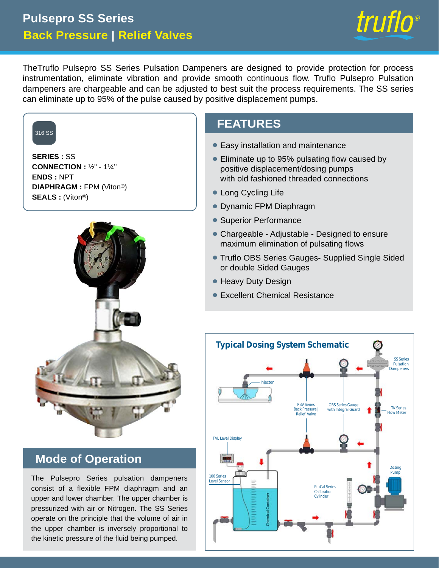# **Back Pressure | Relief Valves Pulsepro SS Series**



TheTruflo Pulsepro SS Series Pulsation Dampeners are designed to provide protection for process instrumentation, eliminate vibration and provide smooth continuous flow. Truflo Pulsepro Pulsation dampeners are chargeable and can be adjusted to best suit the process requirements. The SS series can eliminate up to 95% of the pulse caused by positive displacement pumps.



**SERIES :** SS **CONNECTION :** ½" - 1¼" **ENDS :** NPT **DIAPHRAGM :** FPM (Viton®) **SEALS :** (Viton®)



## **Mode of Operation**

The Pulsepro Series pulsation dampeners and low Series consist of a flexible FPM diaphragm and an upper and lower chamber. The upper chamber is pressurized with air or Nitrogen. The SS Series operate on the principle that the volume of air in the upper chamber is inversely proportional to the kinetic pressure of the fluid being pumped.

## **FEATURES**

- **Easy installation and maintenance**
- Eliminate up to 95% pulsating flow caused by positive displacement/dosing pumps with old fashioned threaded connections
- Long Cycling Life
- Dynamic FPM Diaphragm •
- Superior Performance
- Chargeable Adjustable Designed to ensure maximum elimination of pulsating flows
- Truflo OBS Series Gauges- Supplied Single Sided or double Sided Gauges
- Heavy Duty Design
- **Excellent Chemical Resistance**